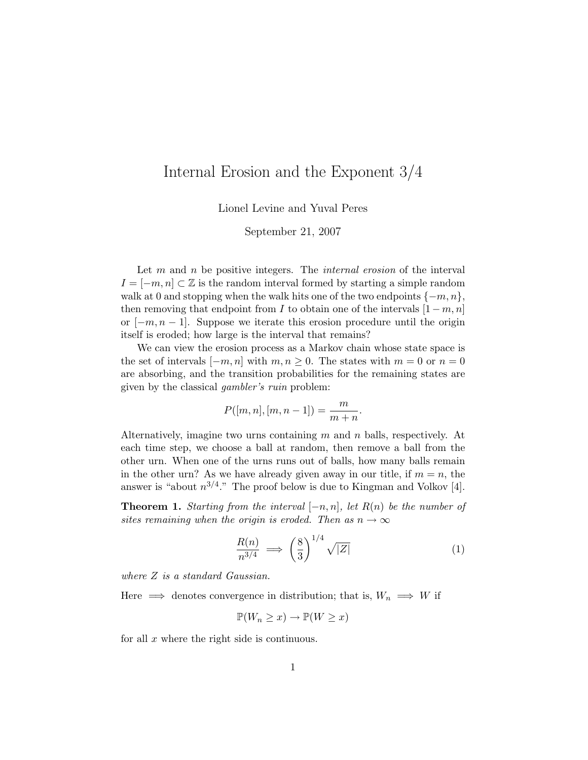## Internal Erosion and the Exponent 3/4

Lionel Levine and Yuval Peres

September 21, 2007

Let  $m$  and  $n$  be positive integers. The *internal erosion* of the interval  $I = [-m, n] \subset \mathbb{Z}$  is the random interval formed by starting a simple random walk at 0 and stopping when the walk hits one of the two endpoints  $\{-m, n\}$ , then removing that endpoint from I to obtain one of the intervals  $[1-m,n]$ or  $[-m, n-1]$ . Suppose we iterate this erosion procedure until the origin itself is eroded; how large is the interval that remains?

We can view the erosion process as a Markov chain whose state space is the set of intervals  $[-m, n]$  with  $m, n \geq 0$ . The states with  $m = 0$  or  $n = 0$ are absorbing, and the transition probabilities for the remaining states are given by the classical gambler's ruin problem:

$$
P([m, n], [m, n-1]) = \frac{m}{m+n}.
$$

Alternatively, imagine two urns containing  $m$  and  $n$  balls, respectively. At each time step, we choose a ball at random, then remove a ball from the other urn. When one of the urns runs out of balls, how many balls remain in the other urn? As we have already given away in our title, if  $m = n$ , the answer is "about  $n^{3/4}$ ." The proof below is due to Kingman and Volkov [4].

**Theorem 1.** Starting from the interval  $[-n, n]$ , let  $R(n)$  be the number of sites remaining when the origin is eroded. Then as  $n \to \infty$ 

$$
\frac{R(n)}{n^{3/4}} \implies \left(\frac{8}{3}\right)^{1/4} \sqrt{|Z|} \tag{1}
$$

where Z is a standard Gaussian.

Here  $\implies$  denotes convergence in distribution; that is,  $W_n \implies W$  if

$$
\mathbb{P}(W_n \geq x) \to \mathbb{P}(W \geq x)
$$

for all  $x$  where the right side is continuous.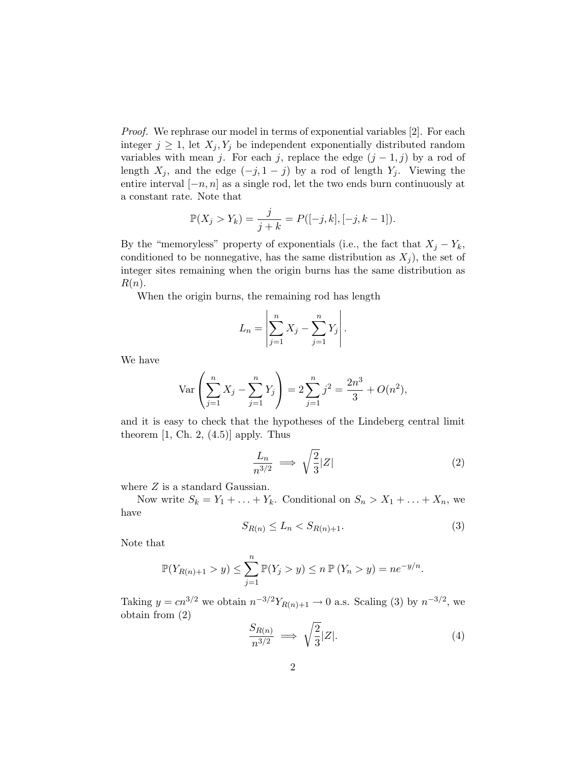Proof. We rephrase our model in terms of exponential variables [2]. For each integer  $j \geq 1$ , let  $X_j, Y_j$  be independent exponentially distributed random variables with mean j. For each j, replace the edge  $(j - 1, j)$  by a rod of length  $X_j$ , and the edge  $(-j, 1-j)$  by a rod of length  $Y_j$ . Viewing the entire interval  $[-n, n]$  as a single rod, let the two ends burn continuously at a constant rate. Note that

$$
\mathbb{P}(X_j > Y_k) = \frac{j}{j+k} = P([-j,k],[-j,k-1]).
$$

By the "memoryless" property of exponentials (i.e., the fact that  $X_j - Y_k$ , conditioned to be nonnegative, has the same distribution as  $X_j$ , the set of integer sites remaining when the origin burns has the same distribution as  $R(n)$ .

When the origin burns, the remaining rod has length

$$
L_n = \left| \sum_{j=1}^n X_j - \sum_{j=1}^n Y_j \right|.
$$

We have

$$
\operatorname{Var}\left(\sum_{j=1}^{n} X_j - \sum_{j=1}^{n} Y_j\right) = 2\sum_{j=1}^{n} j^2 = \frac{2n^3}{3} + O(n^2),
$$

and it is easy to check that the hypotheses of the Lindeberg central limit theorem  $[1, Ch. 2, (4.5)]$  apply. Thus

$$
\frac{L_n}{n^{3/2}} \implies \sqrt{\frac{2}{3}}|Z| \tag{2}
$$

where  $Z$  is a standard Gaussian.

Now write  $S_k = Y_1 + \ldots + Y_k$ . Conditional on  $S_n > X_1 + \ldots + X_n$ , we have

$$
S_{R(n)} \le L_n < S_{R(n)+1}.\tag{3}
$$

Note that

$$
\mathbb{P}(Y_{R(n)+1} > y) \le \sum_{j=1}^{n} \mathbb{P}(Y_j > y) \le n \mathbb{P}(Y_n > y) = n e^{-y/n}.
$$

Taking  $y = cn^{3/2}$  we obtain  $n^{-3/2}Y_{R(n)+1} \to 0$  a.s. Scaling (3) by  $n^{-3/2}$ , we obtain from (2)

$$
\frac{S_{R(n)}}{n^{3/2}} \implies \sqrt{\frac{2}{3}}|Z|.\tag{4}
$$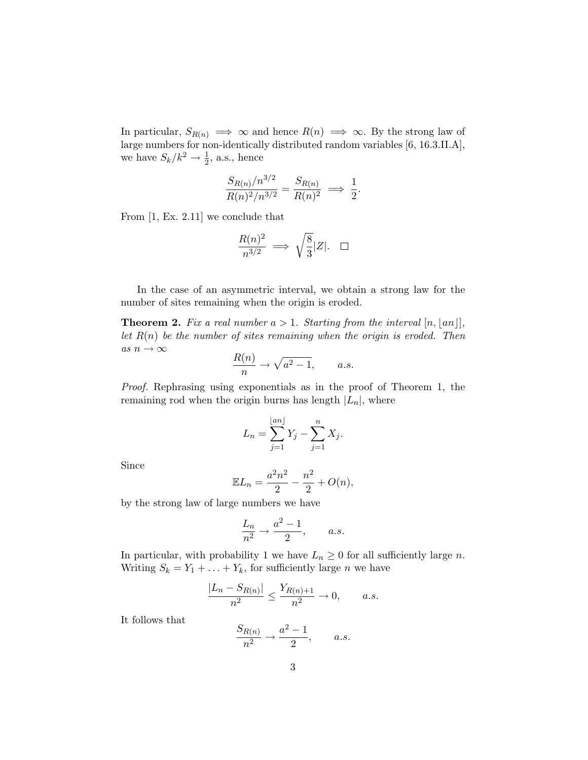In particular,  $S_{R(n)} \implies \infty$  and hence  $R(n) \implies \infty$ . By the strong law of large numbers for non-identically distributed random variables [6, 16.3.II.A], we have  $S_k/k^2 \rightarrow \frac{1}{2}$ , a.s., hence

$$
\frac{S_{R(n)}/n^{3/2}}{R(n)^2/n^{3/2}} = \frac{S_{R(n)}}{R(n)^2} \implies \frac{1}{2}.
$$

From [1, Ex. 2.11] we conclude that

$$
\frac{R(n)^2}{n^{3/2}} \implies \sqrt{\frac{8}{3}}|Z|. \quad \Box
$$

In the case of an asymmetric interval, we obtain a strong law for the number of sites remaining when the origin is eroded.

**Theorem 2.** Fix a real number  $a > 1$ . Starting from the interval  $[n, |an|]$ , let  $R(n)$  be the number of sites remaining when the origin is eroded. Then as  $n \to \infty$ 

$$
\frac{R(n)}{n} \to \sqrt{a^2 - 1}, \qquad a.s.
$$

Proof. Rephrasing using exponentials as in the proof of Theorem 1, the remaining rod when the origin burns has length  $|L_n|$ , where

$$
L_n = \sum_{j=1}^{\lfloor an \rfloor} Y_j - \sum_{j=1}^n X_j.
$$

Since

$$
\mathbb{E}L_n = \frac{a^2n^2}{2} - \frac{n^2}{2} + O(n),
$$

by the strong law of large numbers we have

$$
\frac{L_n}{n^2} \to \frac{a^2 - 1}{2}, \qquad a.s.
$$

In particular, with probability 1 we have  $L_n \geq 0$  for all sufficiently large n. Writing  $S_k = Y_1 + \ldots + Y_k$ , for sufficiently large *n* we have

$$
\frac{|L_n - S_{R(n)}|}{n^2} \le \frac{Y_{R(n)+1}}{n^2} \to 0, \qquad a.s.
$$

It follows that

$$
\frac{S_{R(n)}}{n^2} \to \frac{a^2 - 1}{2}, \qquad a.s.
$$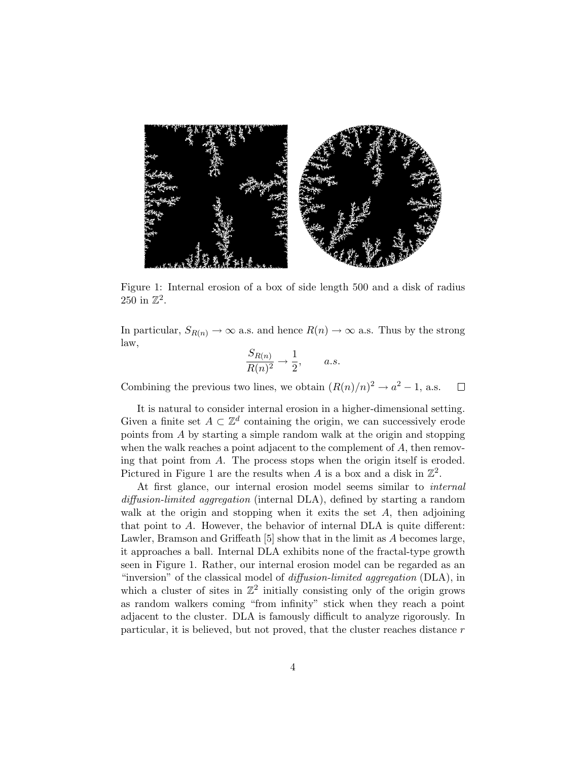

Figure 1: Internal erosion of a box of side length 500 and a disk of radius 250 in  $\mathbb{Z}^2$ .

In particular,  $S_{R(n)} \to \infty$  a.s. and hence  $R(n) \to \infty$  a.s. Thus by the strong law,

$$
\frac{S_{R(n)}}{R(n)^2} \to \frac{1}{2}, \qquad a.s.
$$

Combining the previous two lines, we obtain  $(R(n)/n)^2 \to a^2 - 1$ , a.s.  $\Box$ 

It is natural to consider internal erosion in a higher-dimensional setting. Given a finite set  $A \subset \mathbb{Z}^d$  containing the origin, we can successively erode points from A by starting a simple random walk at the origin and stopping when the walk reaches a point adjacent to the complement of  $A$ , then removing that point from A. The process stops when the origin itself is eroded. Pictured in Figure 1 are the results when A is a box and a disk in  $\mathbb{Z}^2$ .

At first glance, our internal erosion model seems similar to internal diffusion-limited aggregation (internal DLA), defined by starting a random walk at the origin and stopping when it exits the set  $A$ , then adjoining that point to A. However, the behavior of internal DLA is quite different: Lawler, Bramson and Griffeath [5] show that in the limit as A becomes large, it approaches a ball. Internal DLA exhibits none of the fractal-type growth seen in Figure 1. Rather, our internal erosion model can be regarded as an "inversion" of the classical model of *diffusion-limited aggregation* (DLA), in which a cluster of sites in  $\mathbb{Z}^2$  initially consisting only of the origin grows as random walkers coming "from infinity" stick when they reach a point adjacent to the cluster. DLA is famously difficult to analyze rigorously. In particular, it is believed, but not proved, that the cluster reaches distance r